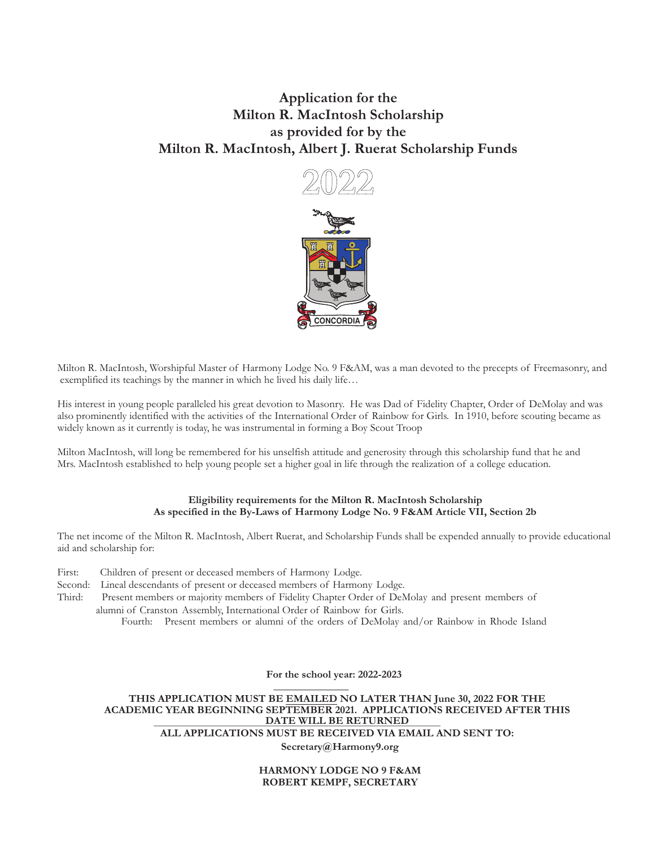## **Application for the Milton R. MacIntosh Scholarship as provided for by the Milton R. MacIntosh, Albert J. Ruerat Scholarship Funds**



Milton R. MacIntosh, Worshipful Master of Harmony Lodge No. 9 F&AM, was a man devoted to the precepts of Freemasonry, and exemplified its teachings by the manner in which he lived his daily life…

His interest in young people paralleled his great devotion to Masonry. He was Dad of Fidelity Chapter, Order of DeMolay and was also prominently identified with the activities of the International Order of Rainbow for Girls. In 1910, before scouting became as widely known as it currently is today, he was instrumental in forming a Boy Scout Troop

Milton MacIntosh, will long be remembered for his unselfish attitude and generosity through this scholarship fund that he and Mrs. MacIntosh established to help young people set a higher goal in life through the realization of a college education.

## **Eligibility requirements for the Milton R. MacIntosh Scholarship As specified in the By-Laws of Harmony Lodge No. 9 F&AM Article VII, Section 2b**

The net income of the Milton R. MacIntosh, Albert Ruerat, and Scholarship Funds shall be expended annually to provide educational aid and scholarship for:

First: Children of present or deceased members of Harmony Lodge.

Second: Lineal descendants of present or deceased members of Harmony Lodge.

Third: Present members or majority members of Fidelity Chapter Order of DeMolay and present members of alumni of Cranston Assembly, International Order of Rainbow for Girls.

Fourth: Present members or alumni of the orders of DeMolay and/or Rainbow in Rhode Island

**For the school year: 2022-2023**

**THIS APPLICATION MUST BE EMAILED NO LATER THAN June 30, 2022 FOR THE ACADEMIC YEAR BEGINNING SEPTEMBER 2021. APPLICATIONS RECEIVED AFTER THIS DATE WILL BE RETURNED ALL APPLICATIONS MUST BE RECEIVED VIA EMAIL AND SENT TO: Secretary@Harmony9.org**

> **HARMONY LODGE NO 9 F&AM ROBERT KEMPF, SECRETARY**